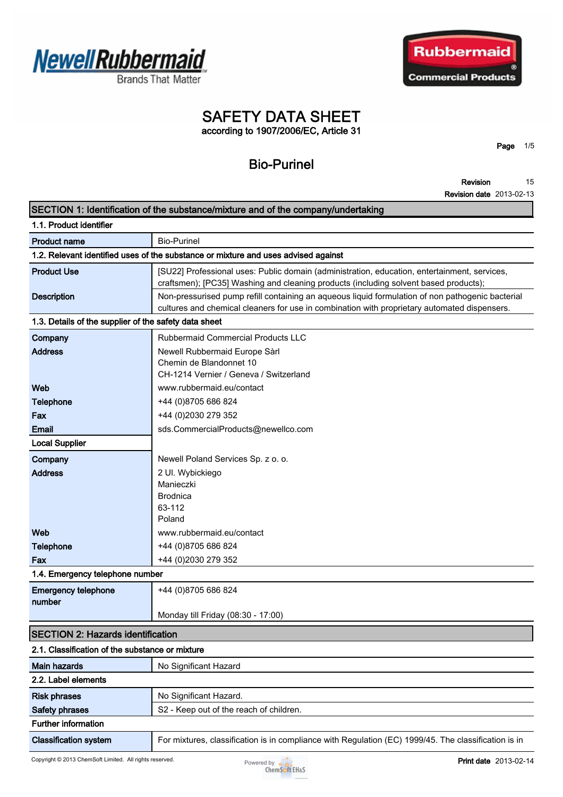

**Brands That Matter** 



# **SAFETY DATA SHEET according to 1907/2006/EC, Article 31**

**Page 1/5**

# **Bio-Purinel**

**Revision Revision date 2013-02-13 15**

|                                                       | SECTION 1: Identification of the substance/mixture and of the company/undertaking                                                                                                                |
|-------------------------------------------------------|--------------------------------------------------------------------------------------------------------------------------------------------------------------------------------------------------|
| 1.1. Product identifier                               |                                                                                                                                                                                                  |
| <b>Product name</b>                                   | <b>Bio-Purinel</b>                                                                                                                                                                               |
|                                                       | 1.2. Relevant identified uses of the substance or mixture and uses advised against                                                                                                               |
| <b>Product Use</b>                                    | [SU22] Professional uses: Public domain (administration, education, entertainment, services,<br>craftsmen); [PC35] Washing and cleaning products (including solvent based products);             |
| <b>Description</b>                                    | Non-pressurised pump refill containing an aqueous liquid formulation of non pathogenic bacterial<br>cultures and chemical cleaners for use in combination with proprietary automated dispensers. |
| 1.3. Details of the supplier of the safety data sheet |                                                                                                                                                                                                  |
| Company                                               | Rubbermaid Commercial Products LLC                                                                                                                                                               |
| <b>Address</b>                                        | Newell Rubbermaid Europe Sàrl<br>Chemin de Blandonnet 10<br>CH-1214 Vernier / Geneva / Switzerland                                                                                               |
| Web                                                   | www.rubbermaid.eu/contact                                                                                                                                                                        |
| <b>Telephone</b>                                      | +44 (0) 8705 686 824                                                                                                                                                                             |
| Fax                                                   | +44 (0)2030 279 352                                                                                                                                                                              |
| <b>Email</b>                                          | sds.CommercialProducts@newellco.com                                                                                                                                                              |
| <b>Local Supplier</b>                                 |                                                                                                                                                                                                  |
| Company                                               | Newell Poland Services Sp. z o. o.                                                                                                                                                               |
| <b>Address</b>                                        | 2 Ul. Wybickiego                                                                                                                                                                                 |
|                                                       | Manieczki                                                                                                                                                                                        |
|                                                       | <b>Brodnica</b>                                                                                                                                                                                  |
|                                                       | 63-112<br>Poland                                                                                                                                                                                 |
| Web                                                   | www.rubbermaid.eu/contact                                                                                                                                                                        |
| <b>Telephone</b>                                      | +44 (0)8705 686 824                                                                                                                                                                              |
| Fax                                                   | +44 (0)2030 279 352                                                                                                                                                                              |
| 1.4. Emergency telephone number                       |                                                                                                                                                                                                  |
| <b>Emergency telephone</b><br>number                  | +44 (0)8705 686 824                                                                                                                                                                              |
|                                                       | Monday till Friday (08:30 - 17:00)                                                                                                                                                               |
| <b>SECTION 2: Hazards identification</b>              |                                                                                                                                                                                                  |
| 2.1. Classification of the substance or mixture       |                                                                                                                                                                                                  |
| <b>Main hazards</b>                                   | No Significant Hazard                                                                                                                                                                            |
| 2.2. Label elements                                   |                                                                                                                                                                                                  |
| <b>Risk phrases</b>                                   | No Significant Hazard.                                                                                                                                                                           |
| <b>Safety phrases</b>                                 | S2 - Keep out of the reach of children.                                                                                                                                                          |
| <b>Further information</b>                            |                                                                                                                                                                                                  |
| <b>Classification system</b>                          | For mixtures, classification is in compliance with Regulation (EC) 1999/45. The classification is in                                                                                             |
|                                                       |                                                                                                                                                                                                  |

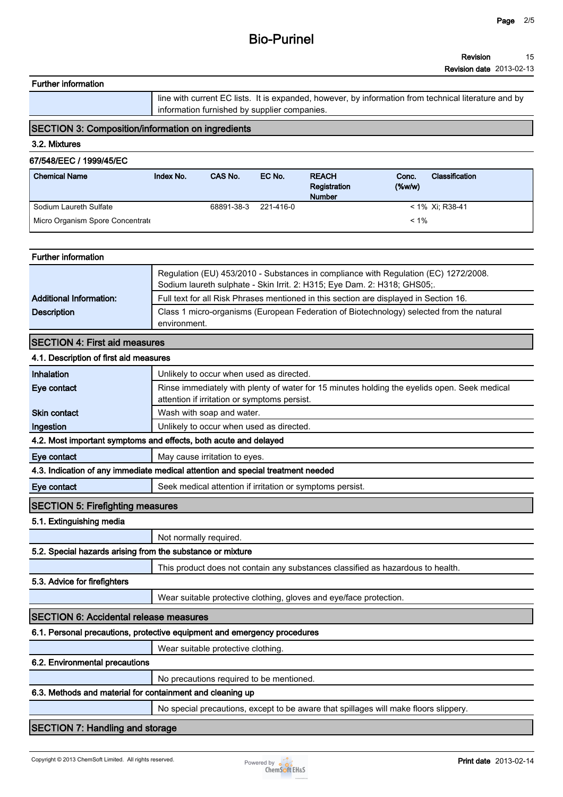#### **Revision 15**

**Revision date 2013-02-13**

```
Further information
```
**line with current EC lists. It is expanded, however, by information from technical literature and by information furnished by supplier companies.**

# **SECTION 3: Composition/information on ingredients**

### **3.2. Mixtures**

## **67/548/EEC / 1999/45/EC**

| <b>Chemical Name</b>             | Index No. | CAS No.    | EC No.    | <b>REACH</b><br>Registration<br><b>Number</b> | Conc.<br>$(\%w/w)$ | <b>Classification</b> |
|----------------------------------|-----------|------------|-----------|-----------------------------------------------|--------------------|-----------------------|
| Sodium Laureth Sulfate           |           | 68891-38-3 | 221-416-0 |                                               |                    | $< 1\%$ Xi; R38-41    |
| Micro Organism Spore Concentrate |           |            |           |                                               | $< 1\%$            |                       |

#### **Further information**

|                                | Regulation (EU) 453/2010 - Substances in compliance with Regulation (EC) 1272/2008.<br>Sodium laureth sulphate - Skin Irrit. 2: H315; Eye Dam. 2: H318; GHS05;. |  |  |  |
|--------------------------------|-----------------------------------------------------------------------------------------------------------------------------------------------------------------|--|--|--|
| <b>Additional Information:</b> | Full text for all Risk Phrases mentioned in this section are displayed in Section 16.                                                                           |  |  |  |
| <b>Description</b>             | Class 1 micro-organisms (European Federation of Biotechnology) selected from the natural                                                                        |  |  |  |
|                                | environment.                                                                                                                                                    |  |  |  |

### **SECTION 4: First aid measures**

## **4.1. Description of first aid measures**

| Inhalation                                                 | Unlikely to occur when used as directed.                                                                                                     |
|------------------------------------------------------------|----------------------------------------------------------------------------------------------------------------------------------------------|
| Eye contact                                                | Rinse immediately with plenty of water for 15 minutes holding the eyelids open. Seek medical<br>attention if irritation or symptoms persist. |
| <b>Skin contact</b>                                        | Wash with soap and water.                                                                                                                    |
| Ingestion                                                  | Unlikely to occur when used as directed.                                                                                                     |
|                                                            | 4.2. Most important symptoms and effects, both acute and delayed                                                                             |
| Eye contact                                                | May cause irritation to eyes.                                                                                                                |
|                                                            | 4.3. Indication of any immediate medical attention and special treatment needed                                                              |
| Eye contact                                                | Seek medical attention if irritation or symptoms persist.                                                                                    |
| <b>SECTION 5: Firefighting measures</b>                    |                                                                                                                                              |
| 5.1. Extinguishing media                                   |                                                                                                                                              |
|                                                            | Not normally required.                                                                                                                       |
| 5.2. Special hazards arising from the substance or mixture |                                                                                                                                              |
|                                                            | This product does not contain any substances classified as hazardous to health.                                                              |
| 5.3. Advice for firefighters                               |                                                                                                                                              |
|                                                            | Wear suitable protective clothing, gloves and eye/face protection.                                                                           |
| <b>SECTION 6: Accidental release measures</b>              |                                                                                                                                              |
|                                                            | 6.1. Personal precautions, protective equipment and emergency procedures                                                                     |
|                                                            | Wear suitable protective clothing.                                                                                                           |
| 6.2. Environmental precautions                             |                                                                                                                                              |
|                                                            | No precautions required to be mentioned.                                                                                                     |
|                                                            |                                                                                                                                              |

### **6.3. Methods and material for containment and cleaning up**

**No special precautions, except to be aware that spillages will make floors slippery.**

### **SECTION 7: Handling and storage**

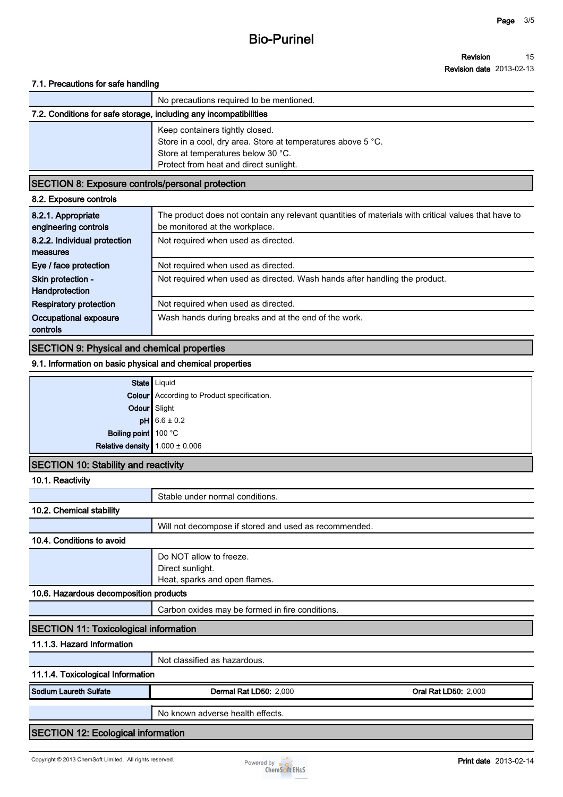# **Bio-Purinel**

#### **Revision Revision date 2013-02-13 15**

#### **7.1. Precautions for safe handling**

|                                                                                                                 | No precautions required to be mentioned.                     |
|-----------------------------------------------------------------------------------------------------------------|--------------------------------------------------------------|
| 7.2. Conditions for safe storage, including any incompatibilities                                               |                                                              |
| Keep containers tightly closed.<br>Store at temperatures below 30 °C.<br>Protect from heat and direct sunlight. | Store in a cool, dry area. Store at temperatures above 5 °C. |

## **SECTION 8: Exposure controls/personal protection**

|  | 8.2. Exposure controls |  |  |
|--|------------------------|--|--|
|--|------------------------|--|--|

| 8.2.1. Appropriate<br>engineering controls | The product does not contain any relevant quantities of materials with critical values that have to<br>be monitored at the workplace. |
|--------------------------------------------|---------------------------------------------------------------------------------------------------------------------------------------|
| 8.2.2. Individual protection               | Not required when used as directed.                                                                                                   |
| measures                                   |                                                                                                                                       |
| Eye / face protection                      | Not required when used as directed.                                                                                                   |
| Skin protection -<br>Handprotection        | Not required when used as directed. Wash hands after handling the product.                                                            |
| <b>Respiratory protection</b>              | Not required when used as directed.                                                                                                   |
| Occupational exposure<br>controls          | Wash hands during breaks and at the end of the work.                                                                                  |

# **SECTION 9: Physical and chemical properties**

#### **9.1. Information on basic physical and chemical properties**

|                                                                                                                                                    | State   Liquid                                    |
|----------------------------------------------------------------------------------------------------------------------------------------------------|---------------------------------------------------|
|                                                                                                                                                    | <b>Colour</b> According to Product specification. |
| Odour Slight                                                                                                                                       |                                                   |
|                                                                                                                                                    |                                                   |
| <b>pH</b> $\begin{array}{r} 6.6 \pm 0.2 \\ 6.6 \pm 0.2 \end{array}$ Boiling point $\begin{array}{r} 100 \text{ °C} \\ 1.000 \pm 0.006 \end{array}$ |                                                   |
|                                                                                                                                                    |                                                   |
|                                                                                                                                                    |                                                   |

## **SECTION 10: Stability and reactivity**

| 10.1. Reactivity                             |                                                                              |                             |  |  |
|----------------------------------------------|------------------------------------------------------------------------------|-----------------------------|--|--|
|                                              | Stable under normal conditions.                                              |                             |  |  |
| 10.2. Chemical stability                     |                                                                              |                             |  |  |
|                                              | Will not decompose if stored and used as recommended.                        |                             |  |  |
| 10.4. Conditions to avoid                    |                                                                              |                             |  |  |
|                                              | Do NOT allow to freeze.<br>Direct sunlight.<br>Heat, sparks and open flames. |                             |  |  |
| 10.6. Hazardous decomposition products       |                                                                              |                             |  |  |
|                                              | Carbon oxides may be formed in fire conditions.                              |                             |  |  |
| <b>SECTION 11: Toxicological information</b> |                                                                              |                             |  |  |
| 11.1.3. Hazard Information                   |                                                                              |                             |  |  |
|                                              | Not classified as hazardous.                                                 |                             |  |  |
| 11.1.4. Toxicological Information            |                                                                              |                             |  |  |
| <b>Sodium Laureth Sulfate</b>                | <b>Dermal Rat LD50: 2,000</b>                                                | <b>Oral Rat LD50: 2,000</b> |  |  |
|                                              | No known adverse health effects.                                             |                             |  |  |
| <b>SECTION 12: Ecological information</b>    |                                                                              |                             |  |  |

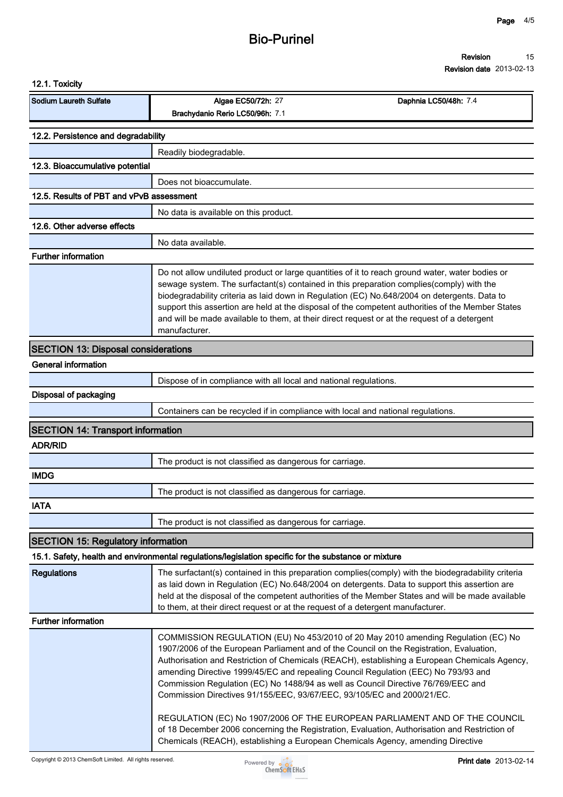#### **Revision 15**

**Revision date 2013-02-13**

| 12.1. Toxicity                             |                                                                                                      |                                                                                                                                                                                                                                                                                                                                                                                                                                                                                                                                                                                                                                                                                                                             |
|--------------------------------------------|------------------------------------------------------------------------------------------------------|-----------------------------------------------------------------------------------------------------------------------------------------------------------------------------------------------------------------------------------------------------------------------------------------------------------------------------------------------------------------------------------------------------------------------------------------------------------------------------------------------------------------------------------------------------------------------------------------------------------------------------------------------------------------------------------------------------------------------------|
| <b>Sodium Laureth Sulfate</b>              | Algae EC50/72h: 27<br>Brachydanio Rerio LC50/96h: 7.1                                                | Daphnia LC50/48h: 7.4                                                                                                                                                                                                                                                                                                                                                                                                                                                                                                                                                                                                                                                                                                       |
| 12.2. Persistence and degradability        |                                                                                                      |                                                                                                                                                                                                                                                                                                                                                                                                                                                                                                                                                                                                                                                                                                                             |
|                                            | Readily biodegradable.                                                                               |                                                                                                                                                                                                                                                                                                                                                                                                                                                                                                                                                                                                                                                                                                                             |
| 12.3. Bioaccumulative potential            |                                                                                                      |                                                                                                                                                                                                                                                                                                                                                                                                                                                                                                                                                                                                                                                                                                                             |
|                                            | Does not bioaccumulate                                                                               |                                                                                                                                                                                                                                                                                                                                                                                                                                                                                                                                                                                                                                                                                                                             |
| 12.5. Results of PBT and vPvB assessment   |                                                                                                      |                                                                                                                                                                                                                                                                                                                                                                                                                                                                                                                                                                                                                                                                                                                             |
|                                            | No data is available on this product.                                                                |                                                                                                                                                                                                                                                                                                                                                                                                                                                                                                                                                                                                                                                                                                                             |
| 12.6. Other adverse effects                |                                                                                                      |                                                                                                                                                                                                                                                                                                                                                                                                                                                                                                                                                                                                                                                                                                                             |
|                                            | No data available.                                                                                   |                                                                                                                                                                                                                                                                                                                                                                                                                                                                                                                                                                                                                                                                                                                             |
| <b>Further information</b>                 |                                                                                                      |                                                                                                                                                                                                                                                                                                                                                                                                                                                                                                                                                                                                                                                                                                                             |
|                                            | manufacturer.                                                                                        | Do not allow undiluted product or large quantities of it to reach ground water, water bodies or<br>sewage system. The surfactant(s) contained in this preparation complies(comply) with the<br>biodegradability criteria as laid down in Regulation (EC) No.648/2004 on detergents. Data to<br>support this assertion are held at the disposal of the competent authorities of the Member States<br>and will be made available to them, at their direct request or at the request of a detergent                                                                                                                                                                                                                            |
| <b>SECTION 13: Disposal considerations</b> |                                                                                                      |                                                                                                                                                                                                                                                                                                                                                                                                                                                                                                                                                                                                                                                                                                                             |
| <b>General information</b>                 |                                                                                                      |                                                                                                                                                                                                                                                                                                                                                                                                                                                                                                                                                                                                                                                                                                                             |
|                                            | Dispose of in compliance with all local and national regulations.                                    |                                                                                                                                                                                                                                                                                                                                                                                                                                                                                                                                                                                                                                                                                                                             |
| Disposal of packaging                      |                                                                                                      |                                                                                                                                                                                                                                                                                                                                                                                                                                                                                                                                                                                                                                                                                                                             |
|                                            | Containers can be recycled if in compliance with local and national regulations.                     |                                                                                                                                                                                                                                                                                                                                                                                                                                                                                                                                                                                                                                                                                                                             |
| <b>SECTION 14: Transport information</b>   |                                                                                                      |                                                                                                                                                                                                                                                                                                                                                                                                                                                                                                                                                                                                                                                                                                                             |
| <b>ADR/RID</b>                             |                                                                                                      |                                                                                                                                                                                                                                                                                                                                                                                                                                                                                                                                                                                                                                                                                                                             |
|                                            | The product is not classified as dangerous for carriage.                                             |                                                                                                                                                                                                                                                                                                                                                                                                                                                                                                                                                                                                                                                                                                                             |
| <b>IMDG</b>                                |                                                                                                      |                                                                                                                                                                                                                                                                                                                                                                                                                                                                                                                                                                                                                                                                                                                             |
|                                            | The product is not classified as dangerous for carriage.                                             |                                                                                                                                                                                                                                                                                                                                                                                                                                                                                                                                                                                                                                                                                                                             |
| <b>IATA</b>                                |                                                                                                      |                                                                                                                                                                                                                                                                                                                                                                                                                                                                                                                                                                                                                                                                                                                             |
|                                            | The product is not classified as dangerous for carriage.                                             |                                                                                                                                                                                                                                                                                                                                                                                                                                                                                                                                                                                                                                                                                                                             |
|                                            |                                                                                                      |                                                                                                                                                                                                                                                                                                                                                                                                                                                                                                                                                                                                                                                                                                                             |
| <b>SECTION 15: Regulatory information</b>  |                                                                                                      |                                                                                                                                                                                                                                                                                                                                                                                                                                                                                                                                                                                                                                                                                                                             |
|                                            | 15.1. Safety, health and environmental regulations/legislation specific for the substance or mixture |                                                                                                                                                                                                                                                                                                                                                                                                                                                                                                                                                                                                                                                                                                                             |
| <b>Regulations</b>                         | to them, at their direct request or at the request of a detergent manufacturer.                      | The surfactant(s) contained in this preparation complies(comply) with the biodegradability criteria<br>as laid down in Regulation (EC) No.648/2004 on detergents. Data to support this assertion are<br>held at the disposal of the competent authorities of the Member States and will be made available                                                                                                                                                                                                                                                                                                                                                                                                                   |
| <b>Further information</b>                 |                                                                                                      |                                                                                                                                                                                                                                                                                                                                                                                                                                                                                                                                                                                                                                                                                                                             |
|                                            | Commission Directives 91/155/EEC, 93/67/EEC, 93/105/EC and 2000/21/EC.                               | COMMISSION REGULATION (EU) No 453/2010 of 20 May 2010 amending Regulation (EC) No<br>1907/2006 of the European Parliament and of the Council on the Registration, Evaluation,<br>Authorisation and Restriction of Chemicals (REACH), establishing a European Chemicals Agency,<br>amending Directive 1999/45/EC and repealing Council Regulation (EEC) No 793/93 and<br>Commission Regulation (EC) No 1488/94 as well as Council Directive 76/769/EEC and<br>REGULATION (EC) No 1907/2006 OF THE EUROPEAN PARLIAMENT AND OF THE COUNCIL<br>of 18 December 2006 concerning the Registration, Evaluation, Authorisation and Restriction of<br>Chemicals (REACH), establishing a European Chemicals Agency, amending Directive |